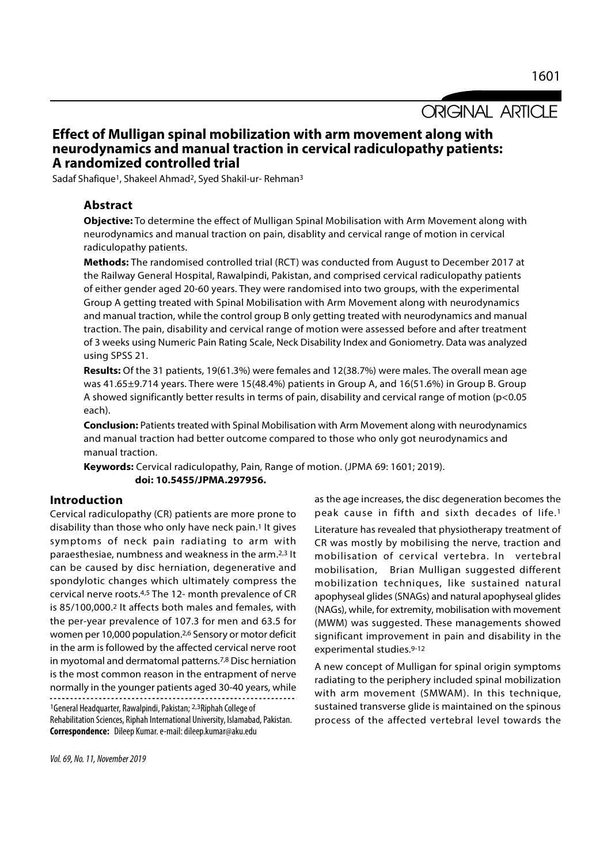**ORIGINAL ARTICLE** 

# Effect of Mulligan spinal mobilization with arm movement along with neurodynamics and manual traction in cervical radiculopathy patients: A randomized controlled trial

Sadaf Shafique1, Shakeel Ahmad2, Syed Shakil-ur- Rehman<sup>3</sup>

## Abstract

Objective: To determine the effect of Mulligan Spinal Mobilisation with Arm Movement along with neurodynamics and manual traction on pain, disablity and cervical range of motion in cervical radiculopathy patients.

Methods: The randomised controlled trial (RCT) was conducted from August to December 2017 at the Railway General Hospital, Rawalpindi, Pakistan, and comprised cervical radiculopathy patients of either gender aged 20-60 years. They were randomised into two groups, with the experimental Group A getting treated with Spinal Mobilisation with Arm Movement along with neurodynamics and manual traction, while the control group B only getting treated with neurodynamics and manual traction. The pain, disability and cervical range of motion were assessed before and after treatment of 3 weeks using Numeric Pain Rating Scale, Neck Disability Index and Goniometry. Data was analyzed using SPSS 21.

Results: Of the 31 patients, 19(61.3%) were females and 12(38.7%) were males. The overall mean age was 41.65±9.714 years. There were 15(48.4%) patients in Group A, and 16(51.6%) in Group B. Group A showed significantly better results in terms of pain, disability and cervical range of motion (p<0.05 each).

**Conclusion:** Patients treated with Spinal Mobilisation with Arm Movement along with neurodynamics and manual traction had better outcome compared to those who only got neurodynamics and manual traction.

Keywords: Cervical radiculopathy, Pain, Range of motion. (JPMA 69: 1601; 2019).<br>doi: 10.5455/JPMA.297956.

### Introduction

Cervical radiculopathy (CR) patients are more prone to disability than those who only have neck pain.1 It gives symptoms of neck pain radiating to arm with paraesthesiae, numbness and weakness in the arm.2,3 It can be caused by disc herniation, degenerative and spondylotic changes which ultimately compress the cervical nerve roots.4,5 The 12- month prevalence of CR is 85/100,000.2 It affects both males and females, with the per-year prevalence of 107.3 for men and 63.5 for women per 10,000 population.2,6 Sensory or motor deficit in the arm is followed by the affected cervical nerve root in myotomal and dermatomal patterns.7,8 Disc herniation is the most common reason in the entrapment of nerve normally in the younger patients aged 30-40 years, while <sup>1</sup>General Headquarter, Rawalpindi, Pakistan; 2,3Riphah College of Rehabilitation Sciences, Riphah International University, Islamabad, Pakistan.

Correspondence: Dileep Kumar. e-mail: dileep.kumar@aku.edu

as the age increases, the disc degeneration becomes the peak cause in fifth and sixth decades of life.1

Literature has revealed that physiotherapy treatment of CR was mostly by mobilising the nerve, traction and mobilisation of cervical vertebra. In vertebral mobilisation, Brian Mulligan suggested different mobilization techniques, like sustained natural apophyseal glides (SNAGs) and natural apophyseal glides (NAGs), while, for extremity, mobilisation with movement (MWM) was suggested. These managements showed significant improvement in pain and disability in the experimental studies.9-12

A new concept of Mulligan for spinal origin symptoms radiating to the periphery included spinal mobilization with arm movement (SMWAM). In this technique, sustained transverse glide is maintained on the spinous process of the affected vertebral level towards the

Vol. 69, No. 11, November 2019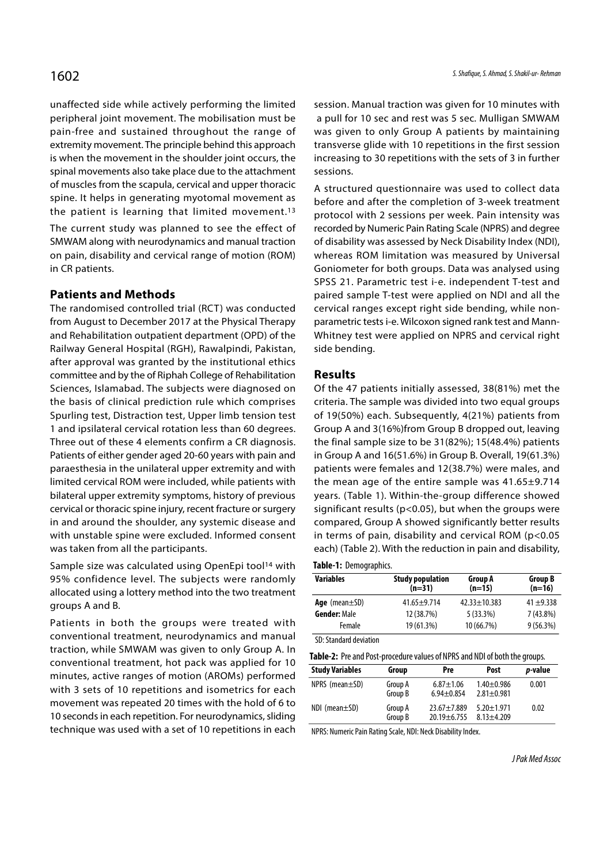unaffected side while actively performing the limited peripheral joint movement. The mobilisation must be pain-free and sustained throughout the range of extremity movement. The principle behind this approach is when the movement in the shoulder joint occurs, the spinal movements also take place due to the attachment of muscles from the scapula, cervical and upper thoracic spine. It helps in generating myotomal movement as the patient is learning that limited movement.13

The current study was planned to see the effect of SMWAM along with neurodynamics and manual traction on pain, disability and cervical range of motion (ROM) in CR patients.

### Patients and Methods

The randomised controlled trial (RCT) was conducted from August to December 2017 at the Physical Therapy and Rehabilitation outpatient department (OPD) of the Railway General Hospital (RGH), Rawalpindi, Pakistan, after approval was granted by the institutional ethics committee and by the of Riphah College of Rehabilitation Sciences, Islamabad. The subjects were diagnosed on the basis of clinical prediction rule which comprises Spurling test, Distraction test, Upper limb tension test 1 and ipsilateral cervical rotation less than 60 degrees. Three out of these 4 elements confirm a CR diagnosis. Patients of either gender aged 20-60 years with pain and paraesthesia in the unilateral upper extremity and with limited cervical ROM were included, while patients with bilateral upper extremity symptoms, history of previous cervical or thoracic spine injury, recent fracture or surgery in and around the shoulder, any systemic disease and with unstable spine were excluded. Informed consent was taken from all the participants.

Sample size was calculated using OpenEpi tool<sup>14</sup> with 95% confidence level. The subjects were randomly allocated using a lottery method into the two treatment groups A and B.

Patients in both the groups were treated with conventional treatment, neurodynamics and manual traction, while SMWAM was given to only Group A. In conventional treatment, hot pack was applied for 10 minutes, active ranges of motion (AROMs) performed with 3 sets of 10 repetitions and isometrics for each movement was repeated 20 times with the hold of 6 to 10 seconds in each repetition. For neurodynamics, sliding technique was used with a set of 10 repetitions in each session. Manual traction was given for 10 minutes with a pull for 10 sec and rest was 5 sec. Mulligan SMWAM was given to only Group A patients by maintaining transverse glide with 10 repetitions in the first session increasing to 30 repetitions with the sets of 3 in further sessions.

A structured questionnaire was used to collect data before and after the completion of 3-week treatment protocol with 2 sessions per week. Pain intensity was recorded by Numeric Pain Rating Scale (NPRS) and degree of disability was assessed by Neck Disability Index (NDI), whereas ROM limitation was measured by Universal Goniometer for both groups. Data was analysed using SPSS 21. Parametric test i-e. independent T-test and paired sample T-test were applied on NDI and all the cervical ranges except right side bending, while nonparametric tests i-e. Wilcoxon signed rank test and Mann-Whitney test were applied on NPRS and cervical right side bending.

#### Results

Of the 47 patients initially assessed, 38(81%) met the criteria. The sample was divided into two equal groups of 19(50%) each. Subsequently, 4(21%) patients from Group A and 3(16%)from Group B dropped out, leaving the final sample size to be 31(82%); 15(48.4%) patients in Group A and 16(51.6%) in Group B. Overall, 19(61.3%) patients were females and 12(38.7%) were males, and the mean age of the entire sample was 41.65±9.714 years. (Table 1). Within-the-group difference showed significant results (p<0.05), but when the groups were compared, Group A showed significantly better results in terms of pain, disability and cervical ROM (p<0.05 each) (Table 2). With the reduction in pain and disability,

#### Table-1: Demographics.

| <b>Variables</b>    | <b>Study population</b><br>$(n=31)$ | <b>Group A</b><br>$(n=15)$ | <b>Group B</b><br>$(n=16)$ |
|---------------------|-------------------------------------|----------------------------|----------------------------|
| Age (mean $\pm$ SD) | $41.65 + 9.714$                     | $42.33 + 10.383$           | $41 + 9.338$               |
| <b>Gender: Male</b> | 12 (38.7%)                          | $5(33.3\%)$                | $7(43.8\%)$                |
| Female              | 19 (61.3%)                          | 10 (66.7%)                 | 9(56.3%)                   |

SD: Standard deviation

| Table-2: Pre and Post-procedure values of NPRS and NDI of both the groups. |  |
|----------------------------------------------------------------------------|--|
|                                                                            |  |

| <b>TODIC 2.</b> The and Fost procedure values of MITS and NDT of both the groups. |                    |                                     |                                    |                 |  |  |
|-----------------------------------------------------------------------------------|--------------------|-------------------------------------|------------------------------------|-----------------|--|--|
| <b>Study Variables</b>                                                            | Group              | Pre                                 | Post                               | <i>p</i> -value |  |  |
| NPRS (mean $\pm$ SD)                                                              | Group A<br>Group B | $6.87 \pm 1.06$<br>$6.94 \pm 0.854$ | $1.40 + 0.986$<br>$2.81 \pm 0.981$ | 0.001           |  |  |
| $NDI$ (mean $\pm SD$ )                                                            | Group A<br>Group B | $23.67 + 7.889$<br>$20.19 + 6.755$  | $5.20 \pm 1.971$<br>$8.13 + 4.209$ | 0.02            |  |  |

NPRS: Numeric Pain Rating Scale, NDI: Neck Disability Index.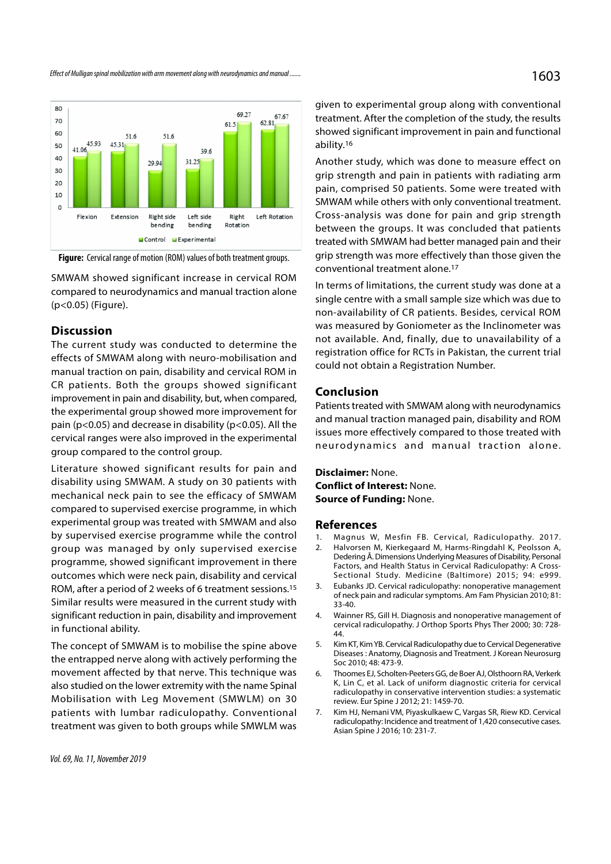

Figure: Cervical range of motion (ROM) values of both treatment groups.

SMWAM showed significant increase in cervical ROM compared to neurodynamics and manual traction alone (p<0.05) (Figure).

#### **Discussion**

The current study was conducted to determine the effects of SMWAM along with neuro-mobilisation and manual traction on pain, disability and cervical ROM in CR patients. Both the groups showed significant improvement in pain and disability, but, when compared, the experimental group showed more improvement for pain (p<0.05) and decrease in disability (p<0.05). All the cervical ranges were also improved in the experimental group compared to the control group.

Literature showed significant results for pain and disability using SMWAM. A study on 30 patients with mechanical neck pain to see the efficacy of SMWAM compared to supervised exercise programme, in which experimental group was treated with SMWAM and also by supervised exercise programme while the control 1. Magnus W, Mesfin FB. Cervical, Radiculopathy. 2017. group was managed by only supervised exercise 2. Halvorsen M, Kierkegaard M, Harms-Ringdahl K, Peolsson A, programme, showed significant improvement in there outcomes which were neck pain, disability and cervical ROM, after a period of 2 weeks of 6 treatment sessions.<sup>15</sup> 3. Eubanks JD. Cervical radiculopathy: nonoperative management Similar results were measured in the current study with significant reduction in pain, disability and improvement 4. Wainner RS, Gill H. Diagnosis and nonoperative management of in functional ability.

the entrapped nerve along with actively performing the movement affected by that nerve. This technique was 6. Thoomes EJ, Scholten-Peeters GG, de Boer AJ, Olsthoorn RA, Verkerk also studied on the lower extremity with the name Spinal Mobilisation with Leg Movement (SMWLM) on 30 patients with lumbar radiculopathy. Conventional 7. Kim HJ, Nemani VM, Piyaskulkaew C, Vargas SR, Riew KD. Cervical treatment was given to both groups while SMWLM was

Vol. 69, No. 11, November 2019

given to experimental group along with conventional treatment. After the completion of the study, the results showed significant improvement in pain and functional ability.16

Another study, which was done to measure effect on grip strength and pain in patients with radiating arm pain, comprised 50 patients. Some were treated with SMWAM while others with only conventional treatment. Cross-analysis was done for pain and grip strength between the groups. It was concluded that patients treated with SMWAM had better managed pain and their grip strength was more effectively than those given the conventional treatment alone.17

In terms of limitations, the current study was done at a single centre with a small sample size which was due to non-availability of CR patients. Besides, cervical ROM was measured by Goniometer as the Inclinometer was not available. And, finally, due to unavailability of a registration office for RCTs in Pakistan, the current trial could not obtain a Registration Number.

#### Conclusion

Patients treated with SMWAM along with neurodynamics and manual traction managed pain, disability and ROM issues more effectively compared to those treated with was measured by Gomometer as the incliniometer was<br>not available. And, finally, due to unavailability of a<br>registration office for RCTs in Pakistan, the current trial<br>could not obtain a Registration Number.<br>**Conclusion**<br>Pa

Disclaimer: None. Conflict of Interest: None. Source of Funding: None.

#### References

- 
- and manual traction managed pain, disability and ROM<br>
issues more effectively compared to those treated with<br>
neurodynamics and manual traction alone.<br> **Disclaimer:** None.<br> **Source of Funding:** None.<br> **References**<br>
1. Magn issues more effectively compared to those treated with<br>
neurodynamics and manual traction alone.<br> **Disclaimer:** None.<br> **Conflict of Interest:** None.<br> **Source of Funding:** None.<br> **References**<br>
1. Magnus W, Mesfin FB. Cervic Dedering Å. Dimensions Underlying Measures of Disability, Personal Factors, and Health Status in Cervical Radiculopathy: A Cross-Sectional Study. Medicine (Baltimore) 2015; 94: e999. **Disclaimer:** None.<br> **Source of Funding:** None.<br> **References**<br>
1. Magnus W, Mesfin FB. Cervical, Radiculopathy. 2017.<br>
2. Halvorsen M, Kierkegaard M, Harms-Ringdahl K, Peolsson A,<br>
Dedering Å. Dimensions Underlying Measure **Source of Funding:** None.<br> **References**<br>
1. Magnus W, Mesfin FB. Cervical, Radiculopathy. 2017.<br>
2. Halvorsen M, Kierkegaard M, Harms-Ringdahl K, Peolsson A,<br>
Dedering Å. Dimensions Underlying Measures of Disability, Pers **Refrences**<br>
1. Magnus W, Mesfin FB. Cervical, Radiculopathy. 2017.<br>
2. Halvorsen M, Kierkegaard M, Harms-Ringdahl K, Peolsson A,<br>
Dedering Å. Dimensions Underlying Measures of Disability, Personal<br>
Factors, and Health Sta
- of neck pain and radicular symptoms. Am Fam Physician 2010; 81: 33-40.
- cervical radiculopathy. J Orthop Sports Phys Ther 2000; 30: 728- 44.
- The concept of SMWAM is to mobilise the spine above 5. Kim KT, Kim YB. Cervical Radiculopathy due to Cervical Degenerative Diseases : Anatomy, Diagnosis and Treatment. J Korean Neurosurg Soc 2010; 48: 473-9.
- Dedering Å. Dimensions Underlying Measures of Disability, Personal<br>Factors, and Health Status in Cervical Radiculopathy: A Cross-<br>Sectional Study. Medicine (Baltimore) 2015; 94: e999.<br>Subanks JD. Cervical radiculopathy: no K, Lin C, et al. Lack of uniform diagnostic criteria for cervical radiculopathy in conservative intervention studies: a systematic review. Eur Spine J 2012; 21: 1459-70. of neck pain and radicular symptoms. Am Fam Physician 2010; 81:<br>
33-40.<br>
4. Wainner RS, Gill H. Diagnosis and nonoperative management of<br>
cervical radiculopathy. J Orthop Sports Phys Ther 2000; 30: 728-<br>
44.<br>
5. Kim KT, Ki
	- radiculopathy: Incidence and treatment of 1,420 consecutive cases. Asian Spine J 2016; 10: 231-7.